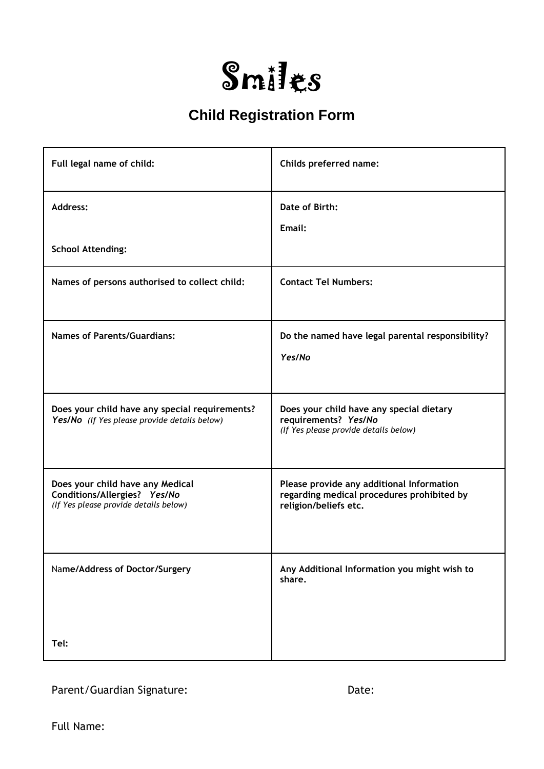

# **Child Registration Form**

| Full legal name of child:                                                                                 | <b>Childs preferred name:</b>                                                                                    |
|-----------------------------------------------------------------------------------------------------------|------------------------------------------------------------------------------------------------------------------|
| <b>Address:</b>                                                                                           | Date of Birth:<br>Email:                                                                                         |
| <b>School Attending:</b>                                                                                  |                                                                                                                  |
| Names of persons authorised to collect child:                                                             | <b>Contact Tel Numbers:</b>                                                                                      |
| <b>Names of Parents/Guardians:</b>                                                                        | Do the named have legal parental responsibility?<br>Yes/No                                                       |
| Does your child have any special requirements?<br>Yes/No (If Yes please provide details below)            | Does your child have any special dietary<br>requirements? Yes/No<br>(If Yes please provide details below)        |
| Does your child have any Medical<br>Conditions/Allergies? Yes/No<br>(If Yes please provide details below) | Please provide any additional Information<br>regarding medical procedures prohibited by<br>religion/beliefs etc. |
| Name/Address of Doctor/Surgery                                                                            | Any Additional Information you might wish to<br>share.                                                           |
| Tel:                                                                                                      |                                                                                                                  |

Parent/Guardian Signature: Date: Date: